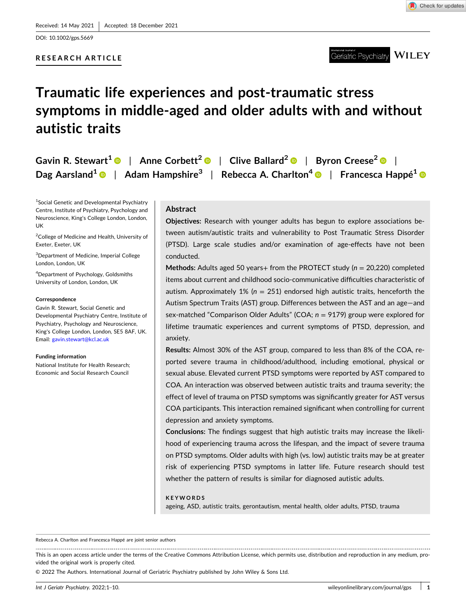DOI: [10.1002/gps.5669](https://doi.org/10.1002/gps.5669)

## **RESEARCH ARTICLE**



**WILEY** Geriatric Psychiatry

# **Traumatic life experiences and post‐traumatic stress symptoms in middle‐aged and older adults with and without autistic traits**

|  | Gavin R. Stewart <sup>1</sup> $\bullet$   Anne Corbett <sup>2</sup> $\bullet$   Clive Ballard <sup>2</sup> $\bullet$   Byron Creese <sup>2</sup> $\bullet$ |  |
|--|------------------------------------------------------------------------------------------------------------------------------------------------------------|--|
|  | Dag Aarsland <sup>1</sup> $\bullet$   Adam Hampshire <sup>3</sup>   Rebecca A. Charlton <sup>4</sup> $\bullet$   Francesca Happé <sup>1</sup> $\bullet$    |  |

1 Social Genetic and Developmental Psychiatry Centre, Institute of Psychiatry, Psychology and Neuroscience, King's College London, London, UK

<sup>2</sup>College of Medicine and Health, University of Exeter, Exeter, UK

3 Department of Medicine, Imperial College London, London, UK

4 Department of Psychology, Goldsmiths University of London, London, UK

#### **Correspondence**

Gavin R. Stewart, Social Genetic and Developmental Psychiatry Centre, Institute of Psychiatry, Psychology and Neuroscience, King's College London, London, SE5 8AF, UK. Email: [gavin.stewart@kcl.ac.uk](mailto:gavin.stewart@kcl.ac.uk)

#### **Funding information**

National Institute for Health Research; Economic and Social Research Council

# **Abstract**

**Objectives:** Research with younger adults has begun to explore associations between autism/autistic traits and vulnerability to Post Traumatic Stress Disorder (PTSD). Large scale studies and/or examination of age-effects have not been conducted.

**Methods:** Adults aged 50 years+ from the PROTECT study (*n* = 20,220) completed items about current and childhood socio‐communicative difficulties characteristic of autism. Approximately 1% ( $n = 251$ ) endorsed high autistic traits, henceforth the Autism Spectrum Traits (AST) group. Differences between the AST and an age—and sex-matched "Comparison Older Adults" (COA;  $n = 9179$ ) group were explored for lifetime traumatic experiences and current symptoms of PTSD, depression, and anxiety.

**Results:** Almost 30% of the AST group, compared to less than 8% of the COA, reported severe trauma in childhood/adulthood, including emotional, physical or sexual abuse. Elevated current PTSD symptoms were reported by AST compared to COA. An interaction was observed between autistic traits and trauma severity; the effect of level of trauma on PTSD symptoms was significantly greater for AST versus COA participants. This interaction remained significant when controlling for current depression and anxiety symptoms.

**Conclusions:** The findings suggest that high autistic traits may increase the likelihood of experiencing trauma across the lifespan, and the impact of severe trauma on PTSD symptoms. Older adults with high (vs. low) autistic traits may be at greater risk of experiencing PTSD symptoms in latter life. Future research should test whether the pattern of results is similar for diagnosed autistic adults.

#### **KEYWORDS**

ageing, ASD, autistic traits, gerontautism, mental health, older adults, PTSD, trauma

Rebecca A. Charlton and Francesca Happé are joint senior authors

This is an open access article under the terms of the Creative Commons Attribution License, which permits use, distribution and reproduction in any medium, provided the original work is properly cited.

© 2022 The Authors. International Journal of Geriatric Psychiatry published by John Wiley & Sons Ltd.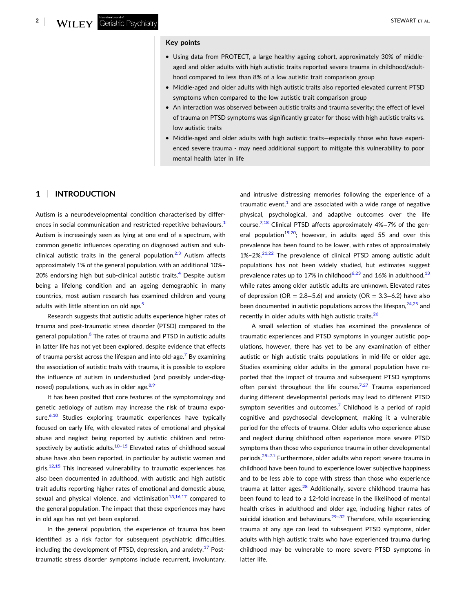#### **Key points**

- Using data from PROTECT, a large healthy ageing cohort, approximately 30% of middleaged and older adults with high autistic traits reported severe trauma in childhood/adulthood compared to less than 8% of a low autistic trait comparison group
- Middle-aged and older adults with high autistic traits also reported elevated current PTSD symptoms when compared to the low autistic trait comparison group
- � An interaction was observed between autistic traits and trauma severity; the effect of level of trauma on PTSD symptoms was significantly greater for those with high autistic traits vs. low autistic traits
- � Middle‐aged and older adults with high autistic traits—especially those who have experienced severe trauma ‐ may need additional support to mitigate this vulnerability to poor mental health later in life

## **1** <sup>|</sup> **INTRODUCTION**

Autism is a neurodevelopmental condition characterised by differ-ences in social communication and restricted-repetitive behaviours.<sup>[1](#page-8-0)</sup> Autism is increasingly seen as lying at one end of a spectrum, with common genetic influences operating on diagnosed autism and sub‐ clinical autistic traits in the general population.<sup>2,3</sup> Autism affects approximately 1% of the general population, with an additional 10%– 20% endorsing high but sub-clinical autistic traits.<sup>[4](#page-8-0)</sup> Despite autism being a lifelong condition and an ageing demographic in many countries, most autism research has examined children and young adults with little attention on old age.<sup>[5](#page-8-0)</sup>

Research suggests that autistic adults experience higher rates of trauma and post‐traumatic stress disorder (PTSD) compared to the general population.<sup>6</sup> The rates of trauma and PTSD in autistic adults in latter life has not yet been explored, despite evidence that effects of trauma persist across the lifespan and into old-age.<sup>7</sup> By examining the association of autistic *traits* with trauma, it is possible to explore the influence of autism in understudied (and possibly under‐diag-nosed) populations, such as in older age.<sup>[8,9](#page-8-0)</sup>

It has been posited that core features of the symptomology and genetic aetiology of autism may increase the risk of trauma exposure. $6,10$  Studies exploring traumatic experiences have typically focused on early life, with elevated rates of emotional and physical abuse and neglect being reported by autistic children and retrospectively by autistic adults. $10-15$  Elevated rates of childhood sexual abuse have also been reported, in particular by autistic women and girls.<sup>12,15</sup> This increased vulnerability to traumatic experiences has also been documented in adulthood, with autistic and high autistic trait adults reporting higher rates of emotional and domestic abuse, sexual and physical violence, and victimisation $13,16,17$  compared to the general population. The impact that these experiences may have in old age has not yet been explored.

In the general population, the experience of trauma has been identified as a risk factor for subsequent psychiatric difficulties, including the development of PTSD, depression, and anxiety. $17$  Posttraumatic stress disorder symptoms include recurrent, involuntary, and intrusive distressing memories following the experience of a traumatic event, $<sup>1</sup>$  $<sup>1</sup>$  $<sup>1</sup>$  and are associated with a wide range of negative</sup> physical, psychological, and adaptive outcomes over the life course[.7,18](#page-8-0) Clinical PTSD affects approximately 4%−7% of the general population<sup>19,20</sup>; however, in adults aged 55 and over this prevalence has been found to be lower, with rates of approximately  $1\% - 2\%$ <sup>[21,22](#page-9-0)</sup> The prevalence of clinical PTSD among autistic adult populations has not been widely studied, but estimates suggest prevalence rates up to 17% in childhood<sup>[6,23](#page-8-0)</sup> and 16% in adulthood,  $13$ while rates among older autistic adults are unknown. Elevated rates of depression ( $OR = 2.8 - 5.6$ ) and anxiety ( $OR = 3.3 - 6.2$ ) have also been documented in autistic populations across the lifespan, $24,25$  and recently in older adults with high autistic traits.<sup>[26](#page-9-0)</sup>

A small selection of studies has examined the prevalence of traumatic experiences and PTSD symptoms in younger autistic populations, however, there has yet to be any examination of either autistic or high autistic traits populations in mid‐life or older age. Studies examining older adults in the general population have reported that the impact of trauma and subsequent PTSD symptoms often persist throughout the life course.<sup>7,27</sup> Trauma experienced during different developmental periods may lead to different PTSD symptom severities and outcomes.<sup>7</sup> Childhood is a period of rapid cognitive and psychosocial development, making it a vulnerable period for the effects of trauma. Older adults who experience abuse and neglect during childhood often experience more severe PTSD symptoms than those who experience trauma in other developmental periods.<sup>[28–31](#page-9-0)</sup> Furthermore, older adults who report severe trauma in childhood have been found to experience lower subjective happiness and to be less able to cope with stress than those who experience trauma at latter ages.<sup>[28](#page-9-0)</sup> Additionally, severe childhood trauma has been found to lead to a 12‐fold increase in the likelihood of mental health crises in adulthood and older age, including higher rates of suicidal ideation and behaviours.<sup>29-32</sup> Therefore, while experiencing trauma at any age can lead to subsequent PTSD symptoms, older adults with high autistic traits who have experienced trauma during childhood may be vulnerable to more severe PTSD symptoms in latter life.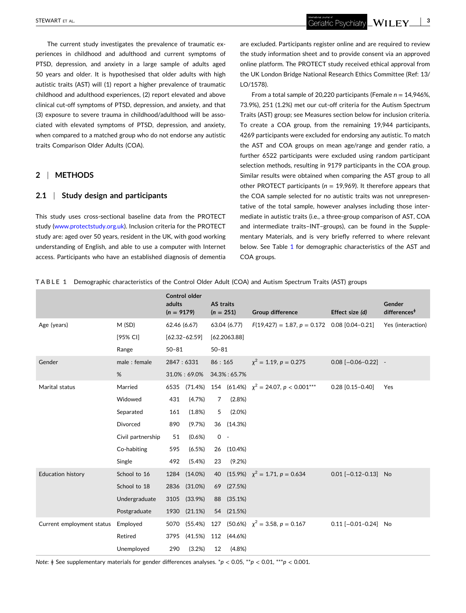<span id="page-2-0"></span>The current study investigates the prevalence of traumatic experiences in childhood and adulthood and current symptoms of PTSD, depression, and anxiety in a large sample of adults aged 50 years and older. It is hypothesised that older adults with high autistic traits (AST) will (1) report a higher prevalence of traumatic childhood and adulthood experiences, (2) report elevated and above clinical cut‐off symptoms of PTSD, depression, and anxiety, and that (3) exposure to severe trauma in childhood/adulthood will be associated with elevated symptoms of PTSD, depression, and anxiety, when compared to a matched group who do not endorse any autistic traits Comparison Older Adults (COA).

#### **2** <sup>|</sup> **METHODS**

#### **2.1** <sup>|</sup> **Study design and participants**

This study uses cross-sectional baseline data from the PROTECT study ([www.protectstudy.org.uk\)](http://www.protectstudy.org.uk). Inclusion criteria for the PROTECT study are: aged over 50 years, resident in the UK, with good working understanding of English, and able to use a computer with Internet access. Participants who have an established diagnosis of dementia

are excluded. Participants register online and are required to review the study information sheet and to provide consent via an approved online platform. The PROTECT study received ethical approval from the UK London Bridge National Research Ethics Committee (Ref: 13/ LO/1578).

From a total sample of 20,220 participants (Female *n* = 14,946%, 73.9%), 251 (1.2%) met our cut‐off criteria for the Autism Spectrum Traits (AST) group; see Measures section below for inclusion criteria. To create a COA group, from the remaining 19,944 participants, 4269 participants were excluded for endorsing any autistic. To match the AST and COA groups on mean age/range and gender ratio, a further 6522 participants were excluded using random participant selection methods, resulting in 9179 participants in the COA group. Similar results were obtained when comparing the AST group to all other PROTECT participants (*n* = 19,969). It therefore appears that the COA sample selected for no autistic traits was not unrepresentative of the total sample, however analyses including those intermediate in autistic traits (i.e., a three‐group comparison of AST, COA and intermediate traits–INT–groups), can be found in the Supplementary Materials, and is very briefly referred to where relevant below. See Table 1 for demographic characteristics of the AST and COA groups.

**TABLE 1** Demographic characteristics of the Control Older Adult (COA) and Autism Spectrum Traits (AST) groups

|                           |                   | adults<br>$(n = 9179)$ | Control older     | AS traits<br>$(n = 251)$ |              | <b>Group difference</b>                        | Effect size (d)           | Gender<br>differences <sup>#</sup> |
|---------------------------|-------------------|------------------------|-------------------|--------------------------|--------------|------------------------------------------------|---------------------------|------------------------------------|
| Age (years)               | M(SD)             | 62.46 (6.67)           |                   |                          | 63.04 (6.77) | $F(19,427) = 1.87, p = 0.172$ 0.08 [0.04-0.21] |                           | Yes (interaction)                  |
|                           | [95% CI]          |                        | $[62.32 - 62.59]$ |                          | [62.2063.88] |                                                |                           |                                    |
|                           | Range             | $50 - 81$              |                   | $50 - 81$                |              |                                                |                           |                                    |
| Gender                    | male: female      | 2847:6331              |                   | 86:165                   |              | $\chi^2 = 1.19, p = 0.275$                     | $0.08$ $[-0.06 - 0.22]$ - |                                    |
|                           | %                 |                        | 31.0%: 69.0%      |                          | 34.3%: 65.7% |                                                |                           |                                    |
| Marital status            | Married           | 6535                   | (71.4%)           |                          |              | 154 (61.4%) $\chi^2$ = 24.07, p < 0.001***     | $0.28$ [0.15-0.40]        | Yes                                |
|                           | Widowed           | 431                    | (4.7%)            | 7                        | (2.8%)       |                                                |                           |                                    |
|                           | Separated         | 161                    | (1.8%)            | 5                        | $(2.0\%)$    |                                                |                           |                                    |
|                           | Divorced          | 890                    | (9.7%)            | 36                       | (14.3%)      |                                                |                           |                                    |
|                           | Civil partnership | 51                     | (0.6% )           | $0 -$                    |              |                                                |                           |                                    |
|                           | Co-habiting       | 595                    | (6.5%)            | 26                       | $(10.4\%)$   |                                                |                           |                                    |
|                           | Single            | 492                    | (5.4%)            | 23                       | (9.2%        |                                                |                           |                                    |
| <b>Education history</b>  | School to 16      | 1284                   | $(14.0\%)$        |                          |              | 40 (15.9%) $\chi^2 = 1.71, p = 0.634$          | $0.01$ [-0.12-0.13] No    |                                    |
|                           | School to 18      | 2836                   | (31.0%)           | 69                       | (27.5%)      |                                                |                           |                                    |
|                           | Undergraduate     | 3105                   | (33.9%)           | 88                       | (35.1%)      |                                                |                           |                                    |
|                           | Postgraduate      | 1930                   | (21.1%)           |                          | 54 (21.5%)   |                                                |                           |                                    |
| Current employment status | Employed          | 5070                   | (55.4%)           |                          |              | 127 (50.6%) $\chi^2 = 3.58, p = 0.167$         | $0.11$ [-0.01-0.24] No    |                                    |
|                           | Retired           | 3795                   | (41.5%)           | 112                      | $(44.6\%)$   |                                                |                           |                                    |
|                           | Unemployed        | 290                    | (3.2%)            | 12                       | (4.8%        |                                                |                           |                                    |

*Note*:  $\neq$  See supplementary materials for gender differences analyses. \* $p$  < 0.05, \*\* $p$  < 0.01, \*\*\* $p$  < 0.001.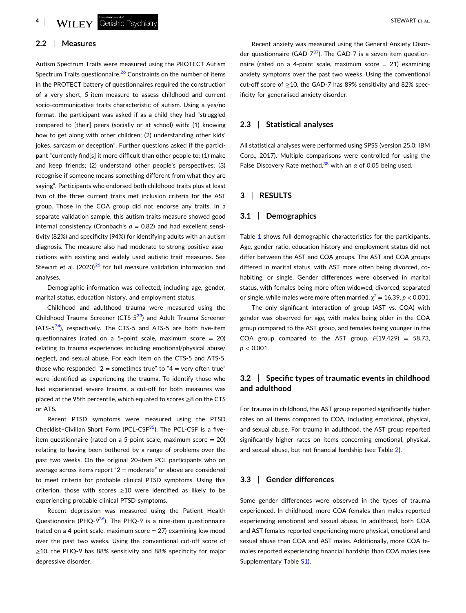## **2.2** <sup>|</sup> **Measures**

Autism Spectrum Traits were measured using the PROTECT Autism Spectrum Traits questionnaire.<sup>[26](#page-9-0)</sup> Constraints on the number of items in the PROTECT battery of questionnaires required the construction of a very short, 5‐item measure to assess childhood and current socio-communicative traits characteristic of autism. Using a yes/no format, the participant was asked if as a child they had "struggled compared to [their] peers (socially or at school) with: (1) knowing how to get along with other children; (2) understanding other kids' jokes, sarcasm or deception". Further questions asked if the participant "currently find[s] it more difficult than other people to: (1) make and keep friends; (2) understand other people's perspectives; (3) recognise if someone means something different from what they are saying". Participants who endorsed both childhood traits plus at least two of the three current traits met inclusion criteria for the AST group. Those in the COA group did not endorse any traits. In a separate validation sample, this autism traits measure showed good internal consistency (Cronbach's  $a = 0.82$ ) and had excellent sensitivity (82%) and specificity (94%) for identifying adults with an autism diagnosis. The measure also had moderate‐to‐strong positive associations with existing and widely used autistic trait measures. See Stewart et al.  $(2020)^{26}$  $(2020)^{26}$  $(2020)^{26}$  for full measure validation information and analyses.

Demographic information was collected, including age, gender, marital status, education history, and employment status.

Childhood and adulthood trauma were measured using the Childhood Trauma Screener (CTS-5<sup>33</sup>) and Adult Trauma Screener (ATS- $5^{34}$ ), respectively. The CTS-5 and ATS-5 are both five-item questionnaires (rated on a 5‐point scale, maximum score = 20) relating to trauma experiences including emotional/physical abuse/ neglect, and sexual abuse. For each item on the CTS‐5 and ATS‐5, those who responded " $2$  = sometimes true" to " $4$  = very often true" were identified as experiencing the trauma. To identify those who had experienced severe trauma, a cut-off for both measures was placed at the 95th percentile, which equated to scores ≥8 on the CTS or ATS.

Recent PTSD symptoms were measured using the PTSD Checklist-Civilian Short Form (PCL-CSF<sup>35</sup>). The PCL-CSF is a fiveitem questionnaire (rated on a 5‐point scale, maximum score = 20) relating to having been bothered by a range of problems over the past two weeks. On the original 20-item PCL participants who on average across items report " $2 =$  moderate" or above are considered to meet criteria for probable clinical PTSD symptoms. Using this criterion, those with scores  $\geq$  10 were identified as likely to be experiencing probable clinical PTSD symptoms.

Recent depression was measured using the Patient Health Questionnaire (PHQ-9 $36$ ). The PHQ-9 is a nine-item questionnaire (rated on a 4-point scale, maximum score  $= 27$ ) examining low mood over the past two weeks. Using the conventional cut‐off score of ≥10, the PHQ‐9 has 88% sensitivity and 88% specificity for major depressive disorder.

Recent anxiety was measured using the General Anxiety Disorder questionnaire (GAD- $7^{37}$  $7^{37}$  $7^{37}$ ). The GAD-7 is a seven-item questionnaire (rated on a 4-point scale, maximum score  $= 21$ ) examining anxiety symptoms over the past two weeks. Using the conventional cut‐off score of ≥10, the GAD‐7 has 89% sensitivity and 82% specificity for generalised anxiety disorder.

#### **2.3** <sup>|</sup> **Statistical analyses**

All statistical analyses were performed using SPSS (version 25.0; IBM Corp., 2017). Multiple comparisons were controlled for using the False Discovery Rate method,<sup>38</sup> with an  $\alpha$  of 0.05 being used.

## **3** <sup>|</sup> **RESULTS**

#### **3.1** <sup>|</sup> **Demographics**

Table [1](#page-2-0) shows full demographic characteristics for the participants. Age, gender ratio, education history and employment status did not differ between the AST and COA groups. The AST and COA groups differed in marital status, with AST more often being divorced, cohabiting, or single. Gender differences were observed in marital status, with females being more often widowed, divorced, separated or single, while males were more often married,  $\chi^2 = 16.39$ ,  $p < 0.001$ .

The only significant interaction of group (AST vs. COA) with gender was observed for age, with males being older in the COA group compared to the AST group, and females being younger in the COA group compared to the AST group, *F*(19,429) = 58.73, *p* < 0.001.

# **3.2** <sup>|</sup> **Specific types of traumatic events in childhood and adulthood**

For trauma in childhood, the AST group reported significantly higher rates on all items compared to COA, including emotional, physical, and sexual abuse. For trauma in adulthood, the AST group reported significantly higher rates on items concerning emotional, physical, and sexual abuse, but not financial hardship (see Table [2\)](#page-4-0).

#### **3.3** <sup>|</sup> **Gender differences**

Some gender differences were observed in the types of trauma experienced. In childhood, more COA females than males reported experiencing emotional and sexual abuse. In adulthood, both COA and AST females reported experiencing more physical, emotional and sexual abuse than COA and AST males. Additionally, more COA females reported experiencing financial hardship than COA males (see Supplementary Table S1).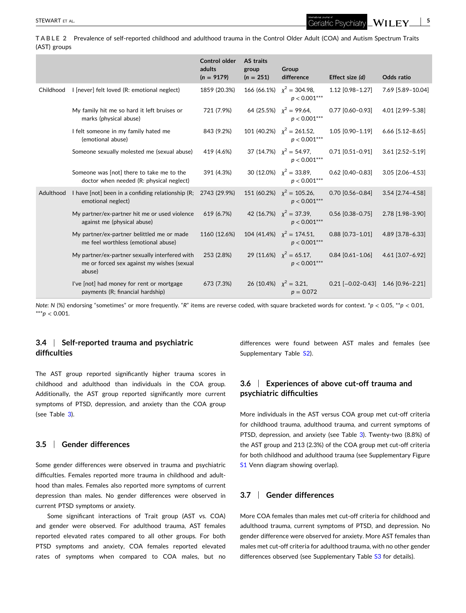<span id="page-4-0"></span>**TABLE 2** Prevalence of self‐reported childhood and adulthood trauma in the Control Older Adult (COA) and Autism Spectrum Traits (AST) groups

|           |                                                                                                        | <b>Control older</b><br>adults<br>$(n = 9179)$ | <b>AS traits</b><br>group<br>$(n = 251)$ | Group<br>difference                               | Effect size (d)     | Odds ratio         |
|-----------|--------------------------------------------------------------------------------------------------------|------------------------------------------------|------------------------------------------|---------------------------------------------------|---------------------|--------------------|
| Childhood | I [never] felt loved (R: emotional neglect)                                                            | 1859 (20.3%)                                   |                                          | 166 (66.1%) $\chi^2 = 304.98$ ,<br>$p < 0.001***$ | 1.12 [0.98-1.27]    | 7.69 [5.89-10.04]  |
|           | My family hit me so hard it left bruises or<br>marks (physical abuse)                                  | 721 (7.9%)                                     |                                          | 64 (25.5%) $x^2 = 99.64$ ,<br>$p < 0.001***$      | $0.77$ [0.60-0.93]  | 4.01 [2.99-5.38]   |
|           | I felt someone in my family hated me<br>(emotional abuse)                                              | 843 (9.2%)                                     |                                          | 101 (40.2%) $\chi^2 = 261.52$ ,<br>$p < 0.001***$ | 1.05 [0.90-1.19]    | $6.66$ [5.12-8.65] |
|           | Someone sexually molested me (sexual abuse)                                                            | 419 (4.6%)                                     |                                          | 37 (14.7%) $\chi^2 = 54.97$ ,<br>$p < 0.001***$   | $0.71$ [0.51-0.91]  | $3.61$ [2.52-5.19] |
|           | Someone was [not] there to take me to the<br>doctor when needed (R: physical neglect)                  | 391 (4.3%)                                     |                                          | 30 (12.0%) $x^2 = 33.89$ ,<br>$p < 0.001***$      | $0.62$ [0.40-0.83]  | 3.05 [2.06-4.53]   |
| Adulthood | I have [not] been in a confiding relationship (R;<br>emotional neglect)                                | 2743 (29.9%)                                   |                                          | 151 (60.2%) $\chi^2$ = 105.26,<br>$p < 0.001***$  | $0.70$ [0.56-0.84]  | 3.54 [2.74-4.58]   |
|           | My partner/ex-partner hit me or used violence<br>against me (physical abuse)                           | 619 (6.7%)                                     |                                          | 42 (16.7%) $x^2 = 37.39$ ,<br>$p < 0.001***$      | $0.56$ [0.38-0.75]  | 2.78 [1.98-3.90]   |
|           | My partner/ex-partner belittled me or made<br>me feel worthless (emotional abuse)                      | 1160 (12.6%)                                   |                                          | 104 (41.4%) $\chi^2 = 174.51$ ,<br>$p < 0.001***$ | $0.88$ [0.73-1.01]  | 4.89 [3.78-6.33]   |
|           | My partner/ex-partner sexually interfered with<br>me or forced sex against my wishes (sexual<br>abuse) | 253 (2.8%)                                     |                                          | 29 (11.6%) $\chi^2 = 65.17$ ,<br>$p < 0.001***$   | $0.84$ [0.61-1.06]  | 4.61 [3.07-6.92]   |
|           | I've [not] had money for rent or mortgage<br>payments (R; financial hardship)                          | 673 (7.3%)                                     | 26 (10.4%) $x^2 = 3.21$ ,                | $p = 0.072$                                       | $0.21$ [-0.02-0.43] | 1.46 [0.96-2.21]   |

*Note*: *N* (%) endorsing "sometimes" or more frequently. "*R*" items are reverse coded, with square bracketed words for context. \**p* < 0.05, \*\**p* < 0.01, \*\*\**p* < 0.001.

## **3.4** <sup>|</sup> **Self‐reported trauma and psychiatric difficulties**

The AST group reported significantly higher trauma scores in childhood and adulthood than individuals in the COA group. Additionally, the AST group reported significantly more current symptoms of PTSD, depression, and anxiety than the COA group (see Table [3](#page-5-0)).

# **3.5** <sup>|</sup> **Gender differences**

Some gender differences were observed in trauma and psychiatric difficulties. Females reported more trauma in childhood and adulthood than males. Females also reported more symptoms of current depression than males. No gender differences were observed in current PTSD symptoms or anxiety.

Some significant interactions of Trait group (AST vs. COA) and gender were observed. For adulthood trauma, AST females reported elevated rates compared to all other groups. For both PTSD symptoms and anxiety, COA females reported elevated rates of symptoms when compared to COA males, but no

differences were found between AST males and females (see Supplementary Table S2).

# **3.6** <sup>|</sup> **Experiences of above cut‐off trauma and psychiatric difficulties**

More individuals in the AST versus COA group met cut‐off criteria for childhood trauma, adulthood trauma, and current symptoms of PTSD, depression, and anxiety (see Table [3](#page-5-0)). Twenty-two (8.8%) of the AST group and 213 (2.3%) of the COA group met cut‐off criteria for both childhood and adulthood trauma (see Supplementary Figure S1 Venn diagram showing overlap).

# **3.7** <sup>|</sup> **Gender differences**

More COA females than males met cut‐off criteria for childhood and adulthood trauma, current symptoms of PTSD, and depression. No gender difference were observed for anxiety. More AST females than males met cut‐off criteria for adulthood trauma, with no other gender differences observed (see Supplementary Table S3 for details).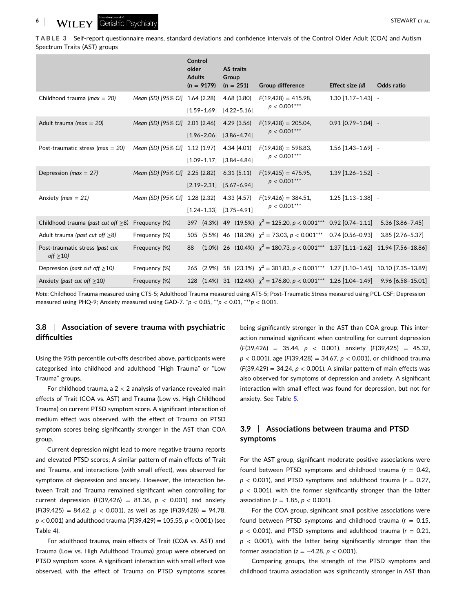<span id="page-5-0"></span>**TABLE 3** Self‐report questionnaire means, standard deviations and confidence intervals of the Control Older Adult (COA) and Autism Spectrum Traits (AST) groups

|                                                   |                                | Control<br>older<br><b>Adults</b> | $(n = 9179)$    | Group | AS traits<br>$(n = 251)$                      | <b>Group difference</b>                                                                            | Effect size (d)          | Odds ratio       |
|---------------------------------------------------|--------------------------------|-----------------------------------|-----------------|-------|-----------------------------------------------|----------------------------------------------------------------------------------------------------|--------------------------|------------------|
| Childhood trauma ( $max = 20$ )                   | Mean (SD) [95% CI] 1.64 (2.28) |                                   | $[1.59 - 1.69]$ |       | 4.68 (3.80)<br>$[4.22 - 5.16]$                | $F(19,428) = 415.98$<br>$p < 0.001***$                                                             | $1.30$ [1.17-1.43] -     |                  |
| Adult trauma ( $max = 20$ )                       | Mean (SD) [95% CI] 2.01 (2.46) |                                   | $[1.96 - 2.06]$ |       | 4.29(3.56)<br>$[3.86 - 4.74]$                 | $F(19,428) = 205.04$ ,<br>$p < 0.001***$                                                           | $0.91$ $[0.79 - 1.04]$ - |                  |
| Post-traumatic stress ( $max = 20$ )              | Mean (SD) [95% CI] 1.12 (1.97) |                                   | $[1.09 - 1.17]$ |       | 4.34 (4.01)<br>$[3.84 - 4.84]$                | $F(19,428) = 598.83$<br>$p < 0.001***$                                                             | $1.56$ [1.43-1.69] -     |                  |
| Depression ( $max = 27$ )                         | Mean (SD) [95% CI] 2.25 (2.82) |                                   | $[2.19 - 2.31]$ |       | 6.31(5.11)<br>$[5.67 - 6.94]$                 | $F(19,425) = 475.95$ ,<br>$p < 0.001***$                                                           | $1.39$ [1.26-1.52] -     |                  |
| Anxiety ( $max = 21$ )                            | Mean (SD) [95% CI] 1.28 (2.32) |                                   |                 |       | 4.33(4.57)<br>$[1.24 - 1.33]$ $[3.75 - 4.91]$ | $F(19,426) = 384.51$ ,<br>$p < 0.001***$                                                           | $1.25$ [1.13-1.38] -     |                  |
| Childhood trauma (past cut off $\geq$ 8)          | Frequency (%)                  |                                   |                 |       |                                               | 397 (4.3%) 49 (19.5%) $\chi^2 = 125.20, p < 0.001***$ 0.92 [0.74-1.11] 5.36 [3.86-7.45]            |                          |                  |
| Adult trauma (past cut off $\geq$ 8)              | Frequency (%)                  |                                   |                 |       |                                               | 505 (5.5%) 46 (18.3%) $\chi^2$ = 73.03, p < 0.001*** 0.74 [0.56-0.93]                              |                          | 3.85 [2.76-5.37] |
| Post-traumatic stress (past cut<br>off $\geq$ 10) | Frequency (%)                  | 88                                |                 |       |                                               | $(1.0\%)$ 26 $(10.4\%)$ $\chi^2 = 180.73$ , $p < 0.001***$ 1.37 $[1.11-1.62]$ 11.94 $[7.56-18.86]$ |                          |                  |
| Depression (past cut off $\geq$ 10)               | Frequency (%)                  |                                   |                 |       |                                               | 265 (2.9%) 58 (23.1%) $\chi^2 = 301.83$ , $p < 0.001***$ 1.27 [1.10-1.45] 10.10 [7.35-13.89]       |                          |                  |
| Anxiety (past cut off $\geq$ 10)                  | Frequency (%)                  |                                   |                 |       |                                               | 128 (1.4%) 31 (12.4%) $\chi^2 = 176.80$ , $p < 0.001***$ 1.26 [1.04-1.49] 9.96 [6.58-15.01]        |                          |                  |

*Note*: Childhood Trauma measured using CTS‐5; Adulthood Trauma measured using ATS‐5; Post‐Traumatic Stress measured using PCL‐CSF; Depression measured using PHQ‐9; Anxiety measured using GAD‐7. \**p* < 0.05, \*\**p* < 0.01, \*\*\**p* < 0.001.

# **3.8** <sup>|</sup> **Association of severe trauma with psychiatric difficulties**

Using the 95th percentile cut‐offs described above, participants were categorised into childhood and adulthood "High Trauma" or "Low Trauma" groups.

For childhood trauma, a  $2 \times 2$  analysis of variance revealed main effects of Trait (COA vs. AST) and Trauma (Low vs. High Childhood Trauma) on current PTSD symptom score. A significant interaction of medium effect was observed, with the effect of Trauma on PTSD symptom scores being significantly stronger in the AST than COA group.

Current depression might lead to more negative trauma reports and elevated PTSD scores; A similar pattern of main effects of Trait and Trauma, and interactions (with small effect), was observed for symptoms of depression and anxiety. However, the interaction between Trait and Trauma remained significant when controlling for current depression  $(F(39, 426) = 81.36, p < 0.001)$  and anxiety (*F*(39,425) = 84.62, *p* < 0.001), as well as age (*F*(39,428) = 94.78, *p* < 0.001) and adulthood trauma (*F*(39,429) = 105.55, *p* < 0.001) (see Table [4](#page-6-0)).

For adulthood trauma, main effects of Trait (COA vs. AST) and Trauma (Low vs. High Adulthood Trauma) group were observed on PTSD symptom score. A significant interaction with small effect was observed, with the effect of Trauma on PTSD symptoms scores

being significantly stronger in the AST than COA group. This interaction remained significant when controlling for current depression (*F*(39,426) = 35.44, *p* < 0.001), anxiety (*F*(39,425) = 45.32, *p* < 0.001), age (*F*(39,428) = 34.67, *p* < 0.001), or childhood trauma (*F*(39,429) = 34.24, *p* < 0.001). A similar pattern of main effects was also observed for symptoms of depression and anxiety. A significant interaction with small effect was found for depression, but not for anxiety. See Table [5.](#page-6-0)

# **3.9** <sup>|</sup> **Associations between trauma and PTSD symptoms**

For the AST group, significant moderate positive associations were found between PTSD symptoms and childhood trauma  $(r = 0.42,$  $p$  < 0.001), and PTSD symptoms and adulthood trauma ( $r = 0.27$ ,  $p$  < 0.001), with the former significantly stronger than the latter association (*z* = 1.85, *p* < 0.001).

For the COA group, significant small positive associations were found between PTSD symptoms and childhood trauma (*r* = 0.15,  $p$  < 0.001), and PTSD symptoms and adulthood trauma ( $r = 0.21$ ,  $p$  < 0.001), with the latter being significantly stronger than the former association  $(z = -4.28, p < 0.001)$ .

Comparing groups, the strength of the PTSD symptoms and childhood trauma association was significantly stronger in AST than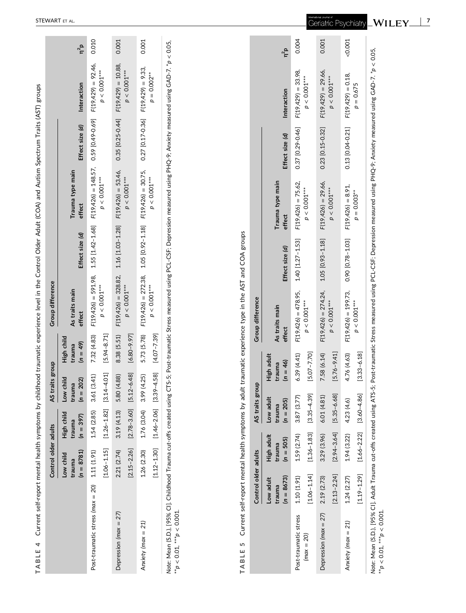|                                                                                                                                                                                                                                       | Control older adults                |                                                                 | AS traits group                    |                                    | Group difference                                                  |                 |                                                                                                           |                    |                      |            |
|---------------------------------------------------------------------------------------------------------------------------------------------------------------------------------------------------------------------------------------|-------------------------------------|-----------------------------------------------------------------|------------------------------------|------------------------------------|-------------------------------------------------------------------|-----------------|-----------------------------------------------------------------------------------------------------------|--------------------|----------------------|------------|
|                                                                                                                                                                                                                                       | $(n = 8781)$<br>Low child<br>trauma | High child<br>$(n = 397)$<br>trauma                             | Low child<br>$(n = 202)$<br>trauma | High child<br>$(n = 49)$<br>trauma | As traits main<br>effect                                          | Effect size (d) | Trauma type main<br>effect                                                                                | Effect size (d)    | Interaction          | $\eta^2$ p |
| Post-traumatic stress (max = $20$ ) 1.11 (1.91)                                                                                                                                                                                       |                                     | $1.54(2.85)$ $3.61(3.41)$                                       |                                    | 7.32 (4.83)                        |                                                                   |                 | $F(19,426) = 591.98$ , $1.55$ [1.42-1.68] $F(19,426) = 148.57$ , $0.59$ [0.49-0.69] $F(19,429) = 92.46$ , |                    |                      | 0.010      |
|                                                                                                                                                                                                                                       |                                     | $[1.06 - 1.15]$ $[1.26 - 1.82]$ $[3.14 - 4.01]$ $[5.94 - 8.71]$ |                                    |                                    | $p < 0.001***$                                                    |                 | $p < 0.001***$                                                                                            |                    | $p<0.001***$         |            |
| Depression ( $max = 27$ )                                                                                                                                                                                                             | 2.21 (2.74)                         | $3.19(4.13)$ 5.80(4)                                            | 4.88                               | 8.38 (5.51)                        | $F(19,426) = 328.82$ , $1.16 [1.03-1.28]$ $F(19,426) = 53.46$ ,   |                 |                                                                                                           | $0.35$ [0.25-0.44] | $F(19, 429) = 10.88$ | 0.001      |
|                                                                                                                                                                                                                                       |                                     | $[2.15-2.26]$ $[2.78-3.60]$ $[5.12-6.48]$                       |                                    | $[6.80 - 9.97]$                    | $p < 0.001***$                                                    |                 | $p < 0.001***$                                                                                            |                    | $p < 0.001***$       |            |
| Anxiety (max = $21$ )                                                                                                                                                                                                                 | 1.26 (2.30)                         | $1.76(3.04)$ 3.99 $(4.25)$                                      |                                    | 5.73 (5.78)                        | $F(19,426) = 272.38$ , $1.05 [0.92 - 1.18]$ $F(19,426) = 30.75$ , |                 |                                                                                                           | 0.27 [0.17-0.36]   | $F(19, 429) = 9.33$  | 0.001      |
|                                                                                                                                                                                                                                       |                                     | $[1.12 - 1.30]$ $[1.46 - 2.06]$ $[3.39 - 4.58]$                 |                                    | $[4.07 - 7.39]$                    | $p<0.001***$                                                      |                 | $p<0.001***$                                                                                              |                    | $p = 0.002***$       |            |
| Note: Mean (S.D.), [95% CI]. Childhood Trauma cut-offs created using CTS-5; Post-traumatic Stress measured using PCL-CSF; Depression measured using PHQ-9; Anxiety measured using GAD-7. *p < 0.05,<br>** $p <$ 0.01, *** $p <$ 0.001 |                                     |                                                                 |                                    |                                    |                                                                   |                 |                                                                                                           |                    |                      |            |

| í<br>ì               |
|----------------------|
|                      |
|                      |
| ׇ֠֡֡֡֡               |
| l                    |
| $\mathbf{r}$         |
|                      |
|                      |
|                      |
|                      |
|                      |
|                      |
|                      |
|                      |
|                      |
|                      |
|                      |
|                      |
| ļ                    |
|                      |
|                      |
|                      |
| ï                    |
|                      |
|                      |
| $\ddot{\phantom{a}}$ |
|                      |
|                      |
|                      |
|                      |
|                      |
|                      |
|                      |
|                      |
|                      |
|                      |
|                      |
|                      |
|                      |
|                      |
|                      |
|                      |
|                      |
|                      |
|                      |
|                      |
|                      |
| ֚֕֕֡                 |
|                      |
|                      |
|                      |
|                      |
|                      |
|                      |
| I                    |
|                      |
|                      |
| l<br>J               |
| ļ<br>I               |
| I<br>l<br>l          |
| ₫                    |
| ı                    |
|                      |

|                           | Control older adults                |                                     | AS traits group                    |                                    | Group difference                            |                  |                            |                          |                        |        |
|---------------------------|-------------------------------------|-------------------------------------|------------------------------------|------------------------------------|---------------------------------------------|------------------|----------------------------|--------------------------|------------------------|--------|
|                           | $(n = 8673)$<br>Low adult<br>trauma | High adult<br>$(n = 505)$<br>trauma | Low adult<br>$(n = 205)$<br>trauma | High adult<br>$(n = 46)$<br>trauma | As traits main<br>effect                    | Effect size (d)  | Trauma type main<br>effect | Effect size (d)          | Interaction            | $n^2p$ |
| Post-traumatic stress     | 1.10 (1.91)                         | 1.59(2.74)                          | 3.87 (3.77)                        | 6.39 (4.41)                        | $F(19,426) = 478.95$ , $1.40$ [1.27 - 1.53] |                  | $F(19, 426) = 75.62$       | 0.37 [0.29-0.46]         | $F(19, 429) = 33.98$   | 0.004  |
| $(max = 20)$              | $[1.06 - 1.14]$                     |                                     | $[1.36 - 1.83]$ $[3.35 - 4.39]$    | $[5.07 - 7.70]$                    | $p<0.001***$                                |                  | $p<0.001***$               |                          | $p < 0.001***$         |        |
| Depression ( $max = 27$ ) | 2.19 (2.73)                         | 3.29(3.96)                          | 6.01 (4.81)                        | 7.58 (6.14)                        | $F(19,426) = 274.24$ , $1.05 [0.93 - 1.18]$ |                  | $F(19, 426) = 29.66$       | $0.23$ [ $0.15 - 0.32$ ] | $F(19, 429) = 29.66$ , | 0.001  |
|                           | $[2.13 - 2.24]$                     | $[2.94 - 3.64]$                     | $[5.35 - 6.68]$                    | $[5.76 - 9.41]$                    | $p < 0.001***$                              |                  | $p < 0.001***$             |                          | $p < 0.001***$         |        |
| Anxiety (max = 21)        | 1.24(2.27)                          | 1.94 (3.22)                         | 4.23 (4.6)                         | 4.76 (4.63)                        | $F(19, 426) = 199.73$                       | 0.90 [0.78-1.03] | $F(19, 426) = 8.91$ ,      | $0.13$ [0.04-0.21]       | $F(19, 429) = 0.18$ ,  | 0.001  |
|                           | $[1.19 - 1.29]$                     | $[1.66 - 2.22]$                     | $[3.60 - 4.86]$                    | $[3.33 - 6.18]$                    | $p < 0.001***$                              |                  | $p = 0.003***$             |                          | $p = 0.675$            |        |

<span id="page-6-0"></span>STEWART ET AL .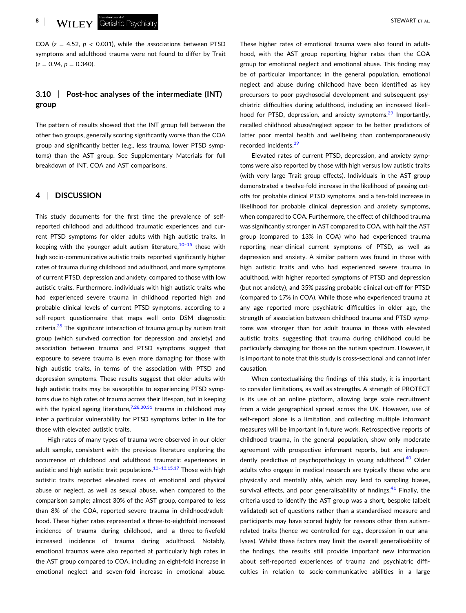COA ( $z = 4.52$ ,  $p < 0.001$ ), while the associations between PTSD symptoms and adulthood trauma were not found to differ by Trait  $(z = 0.94, p = 0.340)$ .

# **3.10** <sup>|</sup> **Post‐hoc analyses of the intermediate (INT) group**

The pattern of results showed that the INT group fell between the other two groups, generally scoring significantly worse than the COA group and significantly better (e.g., less trauma, lower PTSD symptoms) than the AST group. See Supplementary Materials for full breakdown of INT, COA and AST comparisons.

# **4** <sup>|</sup> **DISCUSSION**

This study documents for the first time the prevalence of self‐ reported childhood and adulthood traumatic experiences and current PTSD symptoms for older adults with high autistic traits. In keeping with the younger adult autism literature,  $10-15$  those with high socio-communicative autistic traits reported significantly higher rates of trauma during childhood and adulthood, and more symptoms of current PTSD, depression and anxiety, compared to those with low autistic traits. Furthermore, individuals with high autistic traits who had experienced severe trauma in childhood reported high and probable clinical levels of current PTSD symptoms, according to a self-report questionnaire that maps well onto DSM diagnostic criteria.<sup>[35](#page-9-0)</sup> The significant interaction of trauma group by autism trait group (which survived correction for depression and anxiety) and association between trauma and PTSD symptoms suggest that exposure to severe trauma is even more damaging for those with high autistic traits, in terms of the association with PTSD and depression symptoms. These results suggest that older adults with high autistic traits may be susceptible to experiencing PTSD symptoms due to high rates of trauma across their lifespan, but in keeping with the typical ageing literature,  $7,28,30,31$  trauma in childhood may infer a particular vulnerability for PTSD symptoms latter in life for those with elevated autistic traits.

High rates of many types of trauma were observed in our older adult sample, consistent with the previous literature exploring the occurrence of childhood and adulthood traumatic experiences in autistic and high autistic trait populations.<sup>10-13,15,17</sup> Those with high autistic traits reported elevated rates of emotional and physical abuse or neglect, as well as sexual abuse, when compared to the comparison sample; almost 30% of the AST group, compared to less than 8% of the COA, reported severe trauma in childhood/adulthood. These higher rates represented a three‐to‐eightfold increased incidence of trauma during childhood, and a three‐to‐fivefold increased incidence of trauma during adulthood. Notably, emotional traumas were also reported at particularly high rates in the AST group compared to COA, including an eight‐fold increase in emotional neglect and seven-fold increase in emotional abuse.

These higher rates of emotional trauma were also found in adulthood, with the AST group reporting higher rates than the COA group for emotional neglect and emotional abuse. This finding may be of particular importance; in the general population, emotional neglect and abuse during childhood have been identified as key precursors to poor psychosocial development and subsequent psychiatric difficulties during adulthood, including an increased likeli-hood for PTSD, depression, and anxiety symptoms.<sup>[29](#page-9-0)</sup> Importantly, recalled childhood abuse/neglect appear to be better predictors of latter poor mental health and wellbeing than contemporaneously recorded incidents.<sup>[39](#page-9-0)</sup>

Elevated rates of current PTSD, depression, and anxiety symptoms were also reported by those with high versus low autistic traits (with very large Trait group effects). Individuals in the AST group demonstrated a twelve‐fold increase in the likelihood of passing cut‐ offs for probable clinical PTSD symptoms, and a ten‐fold increase in likelihood for probable clinical depression and anxiety symptoms, when compared to COA. Furthermore, the effect of childhood trauma was significantly stronger in AST compared to COA, with half the AST group (compared to 13% in COA) who had experienced trauma reporting near‐clinical current symptoms of PTSD, as well as depression and anxiety. A similar pattern was found in those with high autistic traits and who had experienced severe trauma in adulthood, with higher reported symptoms of PTSD and depression (but not anxiety), and 35% passing probable clinical cut‐off for PTSD (compared to 17% in COA). While those who experienced trauma at any age reported more psychiatric difficulties in older age, the strength of association between childhood trauma and PTSD symptoms was stronger than for adult trauma in those with elevated autistic traits, suggesting that trauma during childhood could be particularly damaging for those on the autism spectrum. However, it is important to note that this study is cross-sectional and cannot infer causation.

When contextualising the findings of this study, it is important to consider limitations, as well as strengths. A strength of PROTECT is its use of an online platform, allowing large scale recruitment from a wide geographical spread across the UK. However, use of self-report alone is a limitation, and collecting multiple informant measures will be important in future work. Retrospective reports of childhood trauma, in the general population, show only moderate agreement with prospective informant reports, but are indepen-dently predictive of psychopathology in young adulthood.<sup>[40](#page-9-0)</sup> Older adults who engage in medical research are typically those who are physically and mentally able, which may lead to sampling biases, survival effects, and poor generalisability of findings. $41$  Finally, the criteria used to identify the AST group was a short, bespoke (albeit validated) set of questions rather than a standardised measure and participants may have scored highly for reasons other than autismrelated traits (hence we controlled for e.g., depression in our analyses). Whilst these factors may limit the overall generalisability of the findings, the results still provide important new information about self‐reported experiences of trauma and psychiatric difficulties in relation to socio‐communicative abilities in a large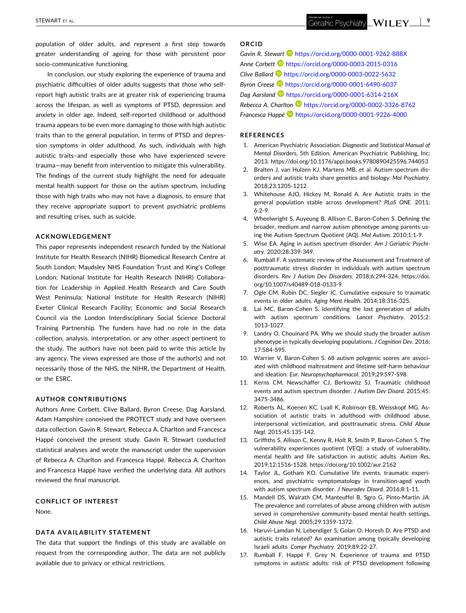Geriatric Psychiatry  $\sqrt{\text{VIEY}}$ 

<span id="page-8-0"></span>population of older adults, and represent a first step towards greater understanding of ageing for those with persistent poor socio‐communicative functioning.

In conclusion, our study exploring the experience of trauma and psychiatric difficulties of older adults suggests that those who self‐ report high autistic traits are at greater risk of experiencing trauma across the lifespan, as well as symptoms of PTSD, depression and anxiety in older age. Indeed, self‐reported childhood or adulthood trauma appears to be even more damaging to those with high autistic traits than to the general population, in terms of PTSD and depression symptoms in older adulthood. As such, individuals with high autistic traits–and especially those who have experienced severe trauma—may benefit from intervention to mitigate this vulnerability. The findings of the current study highlight the need for adequate mental health support for those on the autism spectrum, including those with high traits who may not have a diagnosis, to ensure that they receive appropriate support to prevent psychiatric problems and resulting crises, such as suicide.

#### **ACKNOWLEDGEMENT**

This paper represents independent research funded by the National Institute for Health Research (NIHR) Biomedical Research Centre at South London; Maudsley NHS Foundation Trust and King's College London; National Institute for Health Research (NIHR) Collaboration for Leadership in Applied Health Research and Care South West Peninsula; National Institute for Health Research (NIHR) Exeter Clinical Research Facility; Economic and Social Research Council via the London Interdisciplinary Social Science Doctoral Training Partnership. The funders have had no role in the data collection, analysis, interpretation, or any other aspect pertinent to the study. The authors have not been paid to write this article by any agency. The views expressed are those of the author(s) and not necessarily those of the NHS, the NIHR, the Department of Health, or the ESRC.

#### **AUTHOR CONTRIBUTIONS**

Authors Anne Corbett, Clive Ballard, Byron Creese, Dag Aarsland, Adam Hampshire conceived the PROTECT study and have overseen data collection. Gavin R. Stewart, Rebecca A. Charlton and Francesca Happé conceived the present study. Gavin R. Stewart conducted statistical analyses and wrote the manuscript under the supervision of Rebecca A. Charlton and Francesca Happé. Rebecca A. Charlton and Francesca Happé have verified the underlying data. All authors reviewed the final manuscript.

**CONFLICT OF INTEREST** None.

#### **DATA AVAILABILITY STATEMENT**

The data that support the findings of this study are available on request from the corresponding author. The data are not publicly available due to privacy or ethical restrictions.

### **ORCID**

*Gavin R. Stewart* <https://orcid.org/0000-0001-9262-888X> *Anne Corbett* <https://orcid.org/0000-0003-2015-0316> *Clive Ballard* <https://orcid.org/0000-0003-0022-5632> *Byron Creese* **D** <https://orcid.org/0000-0001-6490-6037> *Dag Aarsland* <https://orcid.org/0000-0001-6314-216X> *Rebecca A. Charlton* <https://orcid.org/0000-0002-3326-8762> *Francesca Happé* <https://orcid.org/0000-0001-9226-4000>

#### **REFERENCES**

- 1. American Psychiatric Association. *Diagnostic and Statistical Manual of Mental Disorders*, 5th Edition. American Psychiatric Publishing, Inc; 2013. <https://doi.org/10.1176/appi.books.9780890425596.744053>
- 2. Bralten J, van Hulzen KJ, Martens MB, et al. Autism spectrum disorders and autistic traits share genetics and biology. *Mol Psychiatry.* 2018;23:1205‐1212.
- 3. Whitehouse AJO, Hickey M, Ronald A. Are Autistic traits in the general population stable across development? *PLoS ONE.* 2011; 6:2‐9.
- 4. Wheelwright S, Auyeung B, Allison C, Baron‐Cohen S. Defining the broader, medium and narrow autism phenotype among parents using the Autism Spectrum Quotient (AQ). *Mol Autism.* 2010;1:1‐9.
- 5. Wise EA. Aging in autism spectrum disorder. *Am J Geriatric Psychiatry.* 2020;28:339‐349.
- 6. Rumball F. A systematic review of the Assessment and Treatment of posttraumatic stress disorder in individuals with autism spectrum disorders. *Rev J Autism Dev Disorders*. 2018;6:294‐324. [https://doi.](https://doi.org/10.1007/s40489-018-0133-9) [org/10.1007/s40489](https://doi.org/10.1007/s40489-018-0133-9)‐018‐0133‐9
- 7. Ogle CM, Rubin DC, Siegler IC. Cumulative exposure to traumatic events in older adults. *Aging Ment Health.* 2014;18:316‐325.
- 8. Lai MC, Baron-Cohen S. Identifying the lost generation of adults with autism spectrum conditions. *Lancet Psychiatry.* 2015;2: 1013‐1027.
- 9. Landry O, Chouinard PA. Why we should study the broader autism phenotype in typically developing populations. *J Cognition Dev.* 2016; 17:584‐595.
- 10. Warrier V, Baron‐Cohen S. 68 autism polygenic scores are associated with childhood maltreatment and lifetime self‐harm behaviour and ideation. *Eur. Neuropsychopharmacol.* 2019;29:S97‐S98.
- 11. Kerns CM, Newschaffer CJ, Berkowitz SJ. Traumatic childhood events and autism spectrum disorder. *J Autism Dev Disord.* 2015;45: 3475‐3486.
- 12. Roberts AL, Koenen KC, Lyall K, Robinson EB, Weisskopf MG. Association of autistic traits in adulthood with childhood abuse, interpersonal victimization, and posttraumatic stress. *Child Abuse Negl.* 2015;45:135‐142.
- 13. Griffiths S, Allison C, Kenny R, Holt R, Smith P, Baron‐Cohen S. The vulnerability experiences quotient (VEQ): a study of vulnerability, mental health and life satisfaction in autistic adults. *Autism Res.* 2019;12:1516‐1528. <https://doi.org/10.1002/aur.2162>
- 14. Taylor JL, Gotham KO. Cumulative life events, traumatic experiences, and psychiatric symptomatology in transition‐aged youth with autism spectrum disorder. *J Neurodev Disord.* 2016;8:1‐11.
- 15. Mandell DS, Walrath CM, Manteuffel B, Sgro G, Pinto‐Martin JA. The prevalence and correlates of abuse among children with autism served in comprehensive community‐based mental health settings. *Child Abuse Negl.* 2005;29:1359‐1372.
- 16. Haruvi-Lamdan N, Lebendiger S, Golan O, Horesh D. Are PTSD and autistic traits related? An examination among typically developing Israeli adults. *Compr Psychiatry.* 2019;89:22‐27.
- 17. Rumball F, Happé F, Grey N. Experience of trauma and PTSD symptoms in autistic adults: risk of PTSD development following